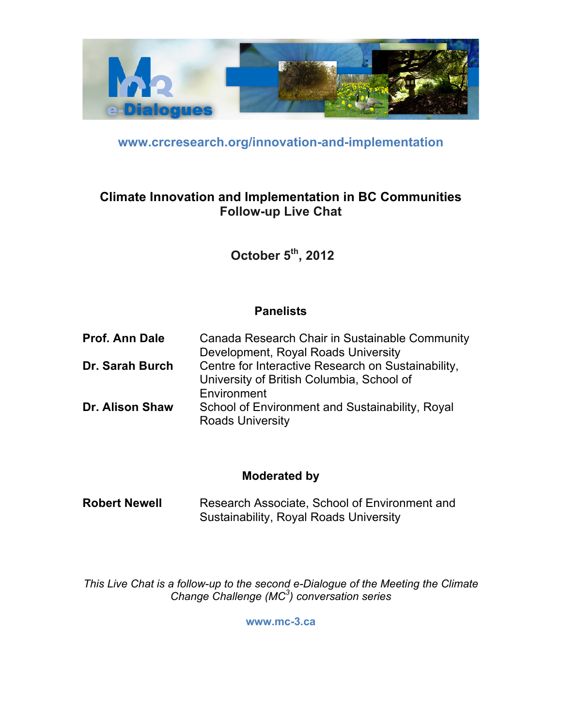

**www.crcresearch.org/innovation-and-implementation**

## **Climate Innovation and Implementation in BC Communities Follow-up Live Chat**

**October 5th, 2012**

## **Panelists**

| Prof. Ann Dale         | Canada Research Chair in Sustainable Community     |
|------------------------|----------------------------------------------------|
|                        | Development, Royal Roads University                |
| Dr. Sarah Burch        | Centre for Interactive Research on Sustainability, |
|                        | University of British Columbia, School of          |
|                        | Environment                                        |
| <b>Dr. Alison Shaw</b> | School of Environment and Sustainability, Royal    |
|                        | <b>Roads University</b>                            |

## **Moderated by**

**Robert Newell** Research Associate, School of Environment and Sustainability, Royal Roads University

*This Live Chat is a follow-up to the second e-Dialogue of the Meeting the Climate Change Challenge (MC3 ) conversation series*

**www.mc-3.ca**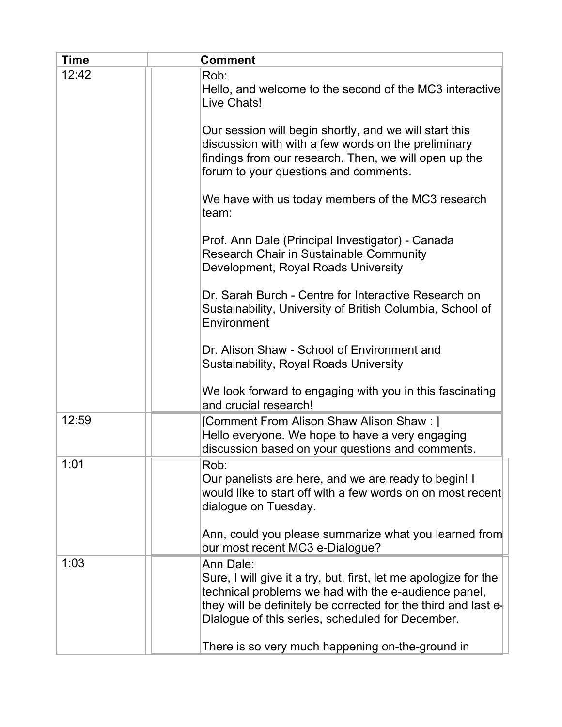| <b>Time</b> | <b>Comment</b>                                                                                                                                                                                                                                                |
|-------------|---------------------------------------------------------------------------------------------------------------------------------------------------------------------------------------------------------------------------------------------------------------|
| 12:42       | Rob:<br>Hello, and welcome to the second of the MC3 interactive<br>Live Chats!                                                                                                                                                                                |
|             | Our session will begin shortly, and we will start this<br>discussion with with a few words on the preliminary<br>findings from our research. Then, we will open up the<br>forum to your questions and comments.                                               |
|             | We have with us today members of the MC3 research<br>team:                                                                                                                                                                                                    |
|             | Prof. Ann Dale (Principal Investigator) - Canada<br>Research Chair in Sustainable Community<br>Development, Royal Roads University                                                                                                                            |
|             | Dr. Sarah Burch - Centre for Interactive Research on<br>Sustainability, University of British Columbia, School of<br>Environment                                                                                                                              |
|             | Dr. Alison Shaw - School of Environment and<br><b>Sustainability, Royal Roads University</b>                                                                                                                                                                  |
|             | We look forward to engaging with you in this fascinating<br>and crucial research!                                                                                                                                                                             |
| 12:59       | [Comment From Alison Shaw Alison Shaw: ]<br>Hello everyone. We hope to have a very engaging<br>discussion based on your questions and comments.                                                                                                               |
| 1:01        | Rob:<br>Our panelists are here, and we are ready to begin! I<br>would like to start off with a few words on on most recent<br>dialogue on Tuesday.                                                                                                            |
|             | Ann, could you please summarize what you learned from<br>our most recent MC3 e-Dialogue?                                                                                                                                                                      |
| 1:03        | Ann Dale:<br>Sure, I will give it a try, but, first, let me apologize for the<br>technical problems we had with the e-audience panel,<br>they will be definitely be corrected for the third and last $e1$<br>Dialogue of this series, scheduled for December. |
|             | There is so very much happening on-the-ground in                                                                                                                                                                                                              |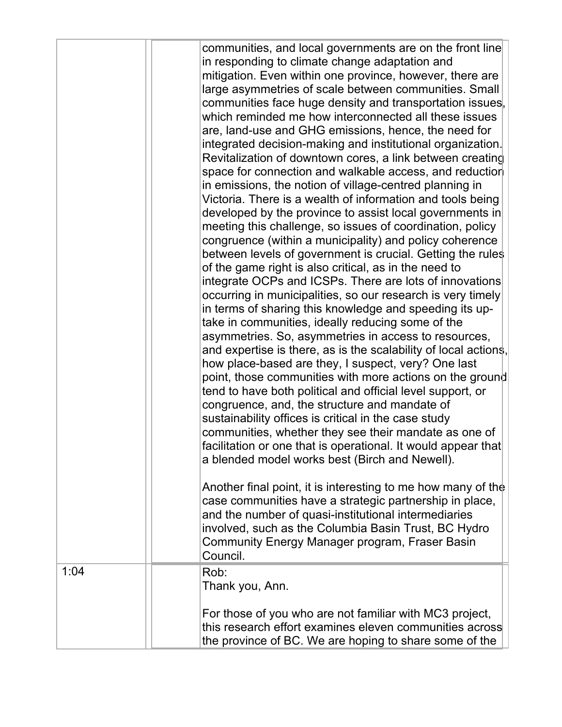|      | communities, and local governments are on the front line<br>in responding to climate change adaptation and<br>mitigation. Even within one province, however, there are<br>large asymmetries of scale between communities. Small<br>communities face huge density and transportation issues,<br>which reminded me how interconnected all these issues<br>are, land-use and GHG emissions, hence, the need for<br>integrated decision-making and institutional organization.<br>Revitalization of downtown cores, a link between creating<br>space for connection and walkable access, and reduction<br>in emissions, the notion of village-centred planning in<br>Victoria. There is a wealth of information and tools being<br>developed by the province to assist local governments in<br>meeting this challenge, so issues of coordination, policy<br>congruence (within a municipality) and policy coherence<br>between levels of government is crucial. Getting the rules<br>of the game right is also critical, as in the need to<br>integrate OCPs and ICSPs. There are lots of innovations<br>occurring in municipalities, so our research is very timely<br>in terms of sharing this knowledge and speeding its up-<br>take in communities, ideally reducing some of the<br>asymmetries. So, asymmetries in access to resources,<br>and expertise is there, as is the scalability of local actions,<br>how place-based are they, I suspect, very? One last<br>point, those communities with more actions on the ground<br>tend to have both political and official level support, or<br>congruence, and, the structure and mandate of<br>sustainability offices is critical in the case study<br>communities, whether they see their mandate as one of<br>facilitation or one that is operational. It would appear that<br>a blended model works best (Birch and Newell).<br>Another final point, it is interesting to me how many of the<br>case communities have a strategic partnership in place,<br>and the number of quasi-institutional intermediaries<br>involved, such as the Columbia Basin Trust, BC Hydro<br>Community Energy Manager program, Fraser Basin<br>Council. |
|------|--------------------------------------------------------------------------------------------------------------------------------------------------------------------------------------------------------------------------------------------------------------------------------------------------------------------------------------------------------------------------------------------------------------------------------------------------------------------------------------------------------------------------------------------------------------------------------------------------------------------------------------------------------------------------------------------------------------------------------------------------------------------------------------------------------------------------------------------------------------------------------------------------------------------------------------------------------------------------------------------------------------------------------------------------------------------------------------------------------------------------------------------------------------------------------------------------------------------------------------------------------------------------------------------------------------------------------------------------------------------------------------------------------------------------------------------------------------------------------------------------------------------------------------------------------------------------------------------------------------------------------------------------------------------------------------------------------------------------------------------------------------------------------------------------------------------------------------------------------------------------------------------------------------------------------------------------------------------------------------------------------------------------------------------------------------------------------------------------------------------------------------------------------------------------------------------|
| 1:04 | Rob:                                                                                                                                                                                                                                                                                                                                                                                                                                                                                                                                                                                                                                                                                                                                                                                                                                                                                                                                                                                                                                                                                                                                                                                                                                                                                                                                                                                                                                                                                                                                                                                                                                                                                                                                                                                                                                                                                                                                                                                                                                                                                                                                                                                       |
|      | Thank you, Ann.                                                                                                                                                                                                                                                                                                                                                                                                                                                                                                                                                                                                                                                                                                                                                                                                                                                                                                                                                                                                                                                                                                                                                                                                                                                                                                                                                                                                                                                                                                                                                                                                                                                                                                                                                                                                                                                                                                                                                                                                                                                                                                                                                                            |
|      |                                                                                                                                                                                                                                                                                                                                                                                                                                                                                                                                                                                                                                                                                                                                                                                                                                                                                                                                                                                                                                                                                                                                                                                                                                                                                                                                                                                                                                                                                                                                                                                                                                                                                                                                                                                                                                                                                                                                                                                                                                                                                                                                                                                            |
|      | For those of you who are not familiar with MC3 project,                                                                                                                                                                                                                                                                                                                                                                                                                                                                                                                                                                                                                                                                                                                                                                                                                                                                                                                                                                                                                                                                                                                                                                                                                                                                                                                                                                                                                                                                                                                                                                                                                                                                                                                                                                                                                                                                                                                                                                                                                                                                                                                                    |
|      | this research effort examines eleven communities across                                                                                                                                                                                                                                                                                                                                                                                                                                                                                                                                                                                                                                                                                                                                                                                                                                                                                                                                                                                                                                                                                                                                                                                                                                                                                                                                                                                                                                                                                                                                                                                                                                                                                                                                                                                                                                                                                                                                                                                                                                                                                                                                    |
|      |                                                                                                                                                                                                                                                                                                                                                                                                                                                                                                                                                                                                                                                                                                                                                                                                                                                                                                                                                                                                                                                                                                                                                                                                                                                                                                                                                                                                                                                                                                                                                                                                                                                                                                                                                                                                                                                                                                                                                                                                                                                                                                                                                                                            |
|      | the province of BC. We are hoping to share some of the                                                                                                                                                                                                                                                                                                                                                                                                                                                                                                                                                                                                                                                                                                                                                                                                                                                                                                                                                                                                                                                                                                                                                                                                                                                                                                                                                                                                                                                                                                                                                                                                                                                                                                                                                                                                                                                                                                                                                                                                                                                                                                                                     |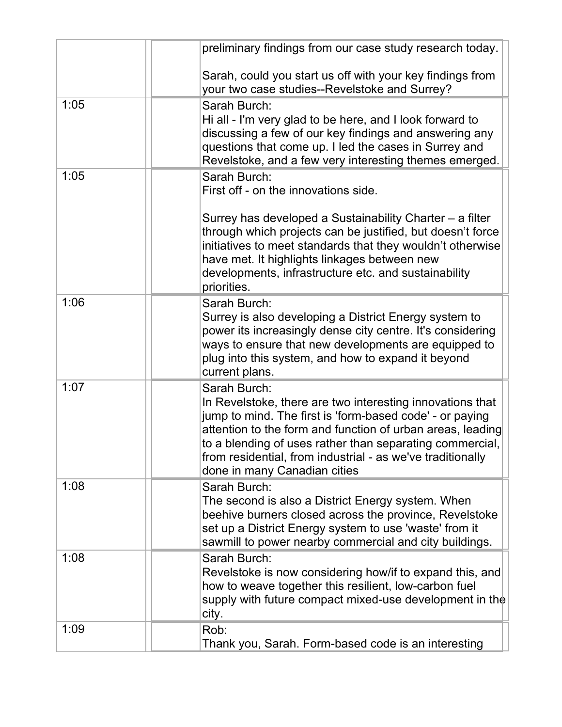|      | preliminary findings from our case study research today.                                                                                                                                                                                                                                                                                                      |
|------|---------------------------------------------------------------------------------------------------------------------------------------------------------------------------------------------------------------------------------------------------------------------------------------------------------------------------------------------------------------|
|      | Sarah, could you start us off with your key findings from<br>your two case studies--Revelstoke and Surrey?                                                                                                                                                                                                                                                    |
| 1:05 | Sarah Burch:<br>Hi all - I'm very glad to be here, and I look forward to<br>discussing a few of our key findings and answering any<br>questions that come up. I led the cases in Surrey and<br>Revelstoke, and a few very interesting themes emerged.                                                                                                         |
| 1:05 | Sarah Burch:<br>First off - on the innovations side.                                                                                                                                                                                                                                                                                                          |
|      | Surrey has developed a Sustainability Charter – a filter<br>through which projects can be justified, but doesn't force<br>initiatives to meet standards that they wouldn't otherwise<br>have met. It highlights linkages between new<br>developments, infrastructure etc. and sustainability<br>priorities.                                                   |
| 1:06 | Sarah Burch:<br>Surrey is also developing a District Energy system to<br>power its increasingly dense city centre. It's considering<br>ways to ensure that new developments are equipped to<br>plug into this system, and how to expand it beyond<br>current plans.                                                                                           |
| 1:07 | Sarah Burch:<br>In Revelstoke, there are two interesting innovations that<br>jump to mind. The first is 'form-based code' - or paying<br>attention to the form and function of urban areas, leading<br>to a blending of uses rather than separating commercial,<br>from residential, from industrial - as we've traditionally<br>done in many Canadian cities |
| 1:08 | Sarah Burch:<br>The second is also a District Energy system. When<br>beehive burners closed across the province, Revelstoke<br>set up a District Energy system to use 'waste' from it<br>sawmill to power nearby commercial and city buildings.                                                                                                               |
| 1:08 | Sarah Burch:<br>Revelstoke is now considering how/if to expand this, and<br>how to weave together this resilient, low-carbon fuel<br>supply with future compact mixed-use development in the<br>city.                                                                                                                                                         |
| 1:09 | Rob:<br>Thank you, Sarah. Form-based code is an interesting                                                                                                                                                                                                                                                                                                   |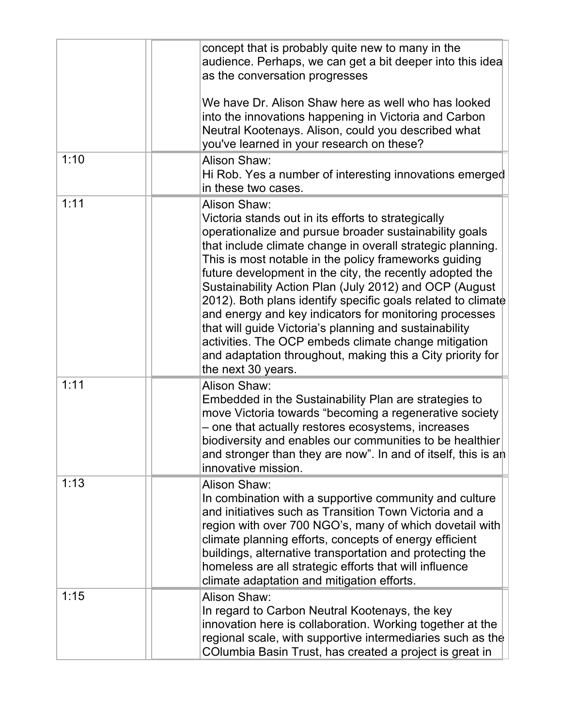|      | concept that is probably quite new to many in the<br>audience. Perhaps, we can get a bit deeper into this idea<br>as the conversation progresses<br>We have Dr. Alison Shaw here as well who has looked<br>into the innovations happening in Victoria and Carbon<br>Neutral Kootenays. Alison, could you described what<br>you've learned in your research on these?                                                                                                                                                                                                                                                                                                                                       |
|------|------------------------------------------------------------------------------------------------------------------------------------------------------------------------------------------------------------------------------------------------------------------------------------------------------------------------------------------------------------------------------------------------------------------------------------------------------------------------------------------------------------------------------------------------------------------------------------------------------------------------------------------------------------------------------------------------------------|
| 1:10 | Alison Shaw:<br>Hi Rob. Yes a number of interesting innovations emerged<br>in these two cases.                                                                                                                                                                                                                                                                                                                                                                                                                                                                                                                                                                                                             |
| 1:11 | Alison Shaw:<br>Victoria stands out in its efforts to strategically<br>operationalize and pursue broader sustainability goals<br>that include climate change in overall strategic planning.<br>This is most notable in the policy frameworks guiding<br>future development in the city, the recently adopted the<br>Sustainability Action Plan (July 2012) and OCP (August<br>2012). Both plans identify specific goals related to climate<br>and energy and key indicators for monitoring processes<br>that will guide Victoria's planning and sustainability<br>activities. The OCP embeds climate change mitigation<br>and adaptation throughout, making this a City priority for<br>the next 30 years. |
| 1:11 | Alison Shaw:<br>Embedded in the Sustainability Plan are strategies to<br>move Victoria towards "becoming a regenerative society<br>- one that actually restores ecosystems, increases<br>biodiversity and enables our communities to be healthier<br>and stronger than they are now". In and of itself, this is an<br>innovative mission.                                                                                                                                                                                                                                                                                                                                                                  |
| 1:13 | Alison Shaw:<br>In combination with a supportive community and culture<br>and initiatives such as Transition Town Victoria and a<br>region with over 700 NGO's, many of which dovetail with<br>climate planning efforts, concepts of energy efficient<br>buildings, alternative transportation and protecting the<br>homeless are all strategic efforts that will influence<br>climate adaptation and mitigation efforts.                                                                                                                                                                                                                                                                                  |
| 1:15 | Alison Shaw:<br>In regard to Carbon Neutral Kootenays, the key<br>innovation here is collaboration. Working together at the<br>regional scale, with supportive intermediaries such as the<br>COlumbia Basin Trust, has created a project is great in                                                                                                                                                                                                                                                                                                                                                                                                                                                       |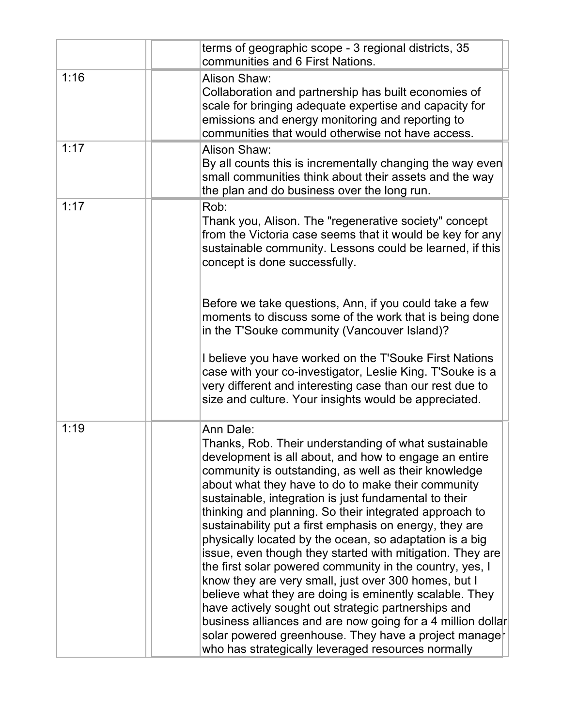|      | terms of geographic scope - 3 regional districts, 35<br>communities and 6 First Nations.                                                                                                                                                                                                                                                                                                                                                                                                                                                                                                                                                                                                                                                                                                                                                                                                                                                                          |
|------|-------------------------------------------------------------------------------------------------------------------------------------------------------------------------------------------------------------------------------------------------------------------------------------------------------------------------------------------------------------------------------------------------------------------------------------------------------------------------------------------------------------------------------------------------------------------------------------------------------------------------------------------------------------------------------------------------------------------------------------------------------------------------------------------------------------------------------------------------------------------------------------------------------------------------------------------------------------------|
| 1:16 | Alison Shaw:<br>Collaboration and partnership has built economies of<br>scale for bringing adequate expertise and capacity for<br>emissions and energy monitoring and reporting to<br>communities that would otherwise not have access.                                                                                                                                                                                                                                                                                                                                                                                                                                                                                                                                                                                                                                                                                                                           |
| 1:17 | Alison Shaw:<br>By all counts this is incrementally changing the way even<br>small communities think about their assets and the way<br>the plan and do business over the long run.                                                                                                                                                                                                                                                                                                                                                                                                                                                                                                                                                                                                                                                                                                                                                                                |
| 1:17 | Rob:<br>Thank you, Alison. The "regenerative society" concept<br>from the Victoria case seems that it would be key for any<br>sustainable community. Lessons could be learned, if this<br>concept is done successfully.                                                                                                                                                                                                                                                                                                                                                                                                                                                                                                                                                                                                                                                                                                                                           |
|      | Before we take questions, Ann, if you could take a few<br>moments to discuss some of the work that is being done<br>in the T'Souke community (Vancouver Island)?                                                                                                                                                                                                                                                                                                                                                                                                                                                                                                                                                                                                                                                                                                                                                                                                  |
|      | I believe you have worked on the T'Souke First Nations<br>case with your co-investigator, Leslie King. T'Souke is a<br>very different and interesting case than our rest due to<br>size and culture. Your insights would be appreciated.                                                                                                                                                                                                                                                                                                                                                                                                                                                                                                                                                                                                                                                                                                                          |
| 1:19 | Ann Dale:<br>Thanks, Rob. Their understanding of what sustainable<br>development is all about, and how to engage an entire<br>community is outstanding, as well as their knowledge<br>about what they have to do to make their community<br>sustainable, integration is just fundamental to their<br>thinking and planning. So their integrated approach to<br>sustainability put a first emphasis on energy, they are<br>physically located by the ocean, so adaptation is a big<br>issue, even though they started with mitigation. They are<br>the first solar powered community in the country, yes, I<br>know they are very small, just over 300 homes, but I<br>believe what they are doing is eminently scalable. They<br>have actively sought out strategic partnerships and<br>business alliances and are now going for a 4 million dollar<br>solar powered greenhouse. They have a project manage<br>who has strategically leveraged resources normally |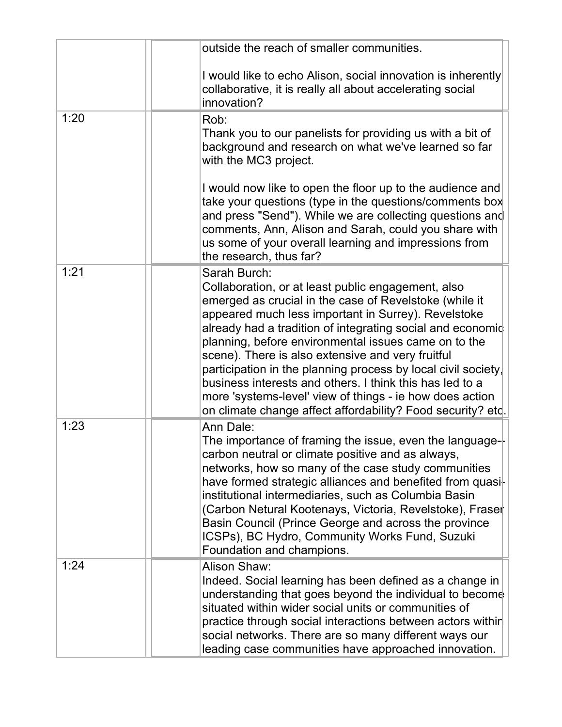|      | outside the reach of smaller communities.                                                                                                                                                                                                                                                                                                                                                                                                                                                                                                                                                                              |
|------|------------------------------------------------------------------------------------------------------------------------------------------------------------------------------------------------------------------------------------------------------------------------------------------------------------------------------------------------------------------------------------------------------------------------------------------------------------------------------------------------------------------------------------------------------------------------------------------------------------------------|
|      | I would like to echo Alison, social innovation is inherently<br>collaborative, it is really all about accelerating social<br>innovation?                                                                                                                                                                                                                                                                                                                                                                                                                                                                               |
| 1:20 | Rob:<br>Thank you to our panelists for providing us with a bit of<br>background and research on what we've learned so far<br>with the MC3 project.                                                                                                                                                                                                                                                                                                                                                                                                                                                                     |
|      | I would now like to open the floor up to the audience and<br>take your questions (type in the questions/comments box<br>and press "Send"). While we are collecting questions and<br>comments, Ann, Alison and Sarah, could you share with<br>us some of your overall learning and impressions from<br>the research, thus far?                                                                                                                                                                                                                                                                                          |
| 1:21 | Sarah Burch:<br>Collaboration, or at least public engagement, also<br>emerged as crucial in the case of Revelstoke (while it<br>appeared much less important in Surrey). Revelstoke<br>already had a tradition of integrating social and economic<br>planning, before environmental issues came on to the<br>scene). There is also extensive and very fruitful<br>participation in the planning process by local civil society,<br>business interests and others. I think this has led to a<br>more 'systems-level' view of things - ie how does action<br>on climate change affect affordability? Food security? etc. |
| 1:23 | Ann Dale:<br>The importance of framing the issue, even the language- $\vdash$<br>carbon neutral or climate positive and as always,<br>networks, how so many of the case study communities<br>have formed strategic alliances and benefited from quasi-<br>institutional intermediaries, such as Columbia Basin<br>(Carbon Netural Kootenays, Victoria, Revelstoke), Fraser<br>Basin Council (Prince George and across the province<br>ICSPs), BC Hydro, Community Works Fund, Suzuki<br>Foundation and champions.                                                                                                      |
| 1:24 | Alison Shaw:<br>Indeed. Social learning has been defined as a change in<br>understanding that goes beyond the individual to become<br>situated within wider social units or communities of<br>practice through social interactions between actors within<br>social networks. There are so many different ways our<br>leading case communities have approached innovation.                                                                                                                                                                                                                                              |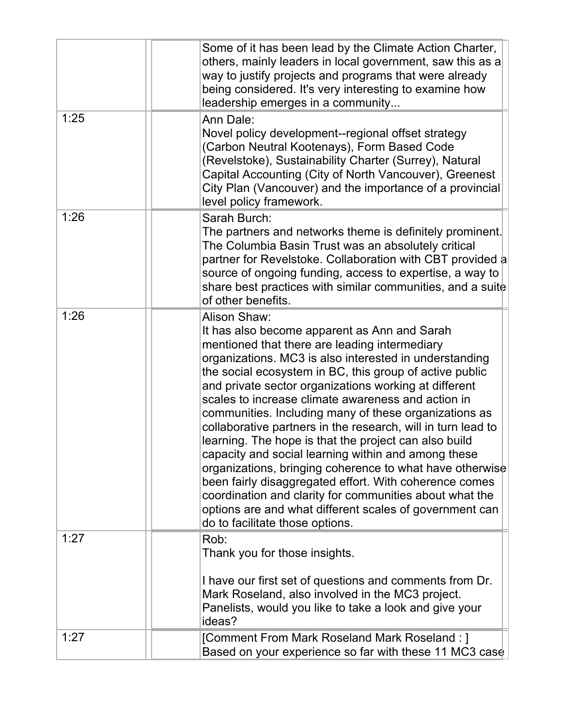|      | Some of it has been lead by the Climate Action Charter,<br>others, mainly leaders in local government, saw this as a<br>way to justify projects and programs that were already<br>being considered. It's very interesting to examine how<br>leadership emerges in a community                                                                                                                                                                                                                                                                                                                                                                                                                                                                                                                                                                                             |
|------|---------------------------------------------------------------------------------------------------------------------------------------------------------------------------------------------------------------------------------------------------------------------------------------------------------------------------------------------------------------------------------------------------------------------------------------------------------------------------------------------------------------------------------------------------------------------------------------------------------------------------------------------------------------------------------------------------------------------------------------------------------------------------------------------------------------------------------------------------------------------------|
| 1:25 | Ann Dale:<br>Novel policy development--regional offset strategy<br>(Carbon Neutral Kootenays), Form Based Code<br>(Revelstoke), Sustainability Charter (Surrey), Natural<br>Capital Accounting (City of North Vancouver), Greenest<br>City Plan (Vancouver) and the importance of a provincial<br>level policy framework.                                                                                                                                                                                                                                                                                                                                                                                                                                                                                                                                                 |
| 1:26 | Sarah Burch:<br>The partners and networks theme is definitely prominent.<br>The Columbia Basin Trust was an absolutely critical<br>partner for Revelstoke. Collaboration with CBT provided a<br>source of ongoing funding, access to expertise, a way to<br>share best practices with similar communities, and a suite<br>of other benefits.                                                                                                                                                                                                                                                                                                                                                                                                                                                                                                                              |
| 1:26 | Alison Shaw:<br>It has also become apparent as Ann and Sarah<br>mentioned that there are leading intermediary<br>organizations. MC3 is also interested in understanding<br>the social ecosystem in BC, this group of active public<br>and private sector organizations working at different<br>scales to increase climate awareness and action in<br>communities. Including many of these organizations as<br>collaborative partners in the research, will in turn lead to<br>learning. The hope is that the project can also build<br>capacity and social learning within and among these<br>organizations, bringing coherence to what have otherwise<br>been fairly disaggregated effort. With coherence comes<br>coordination and clarity for communities about what the<br>options are and what different scales of government can<br>do to facilitate those options. |
| 1:27 | Rob:<br>Thank you for those insights.<br>I have our first set of questions and comments from Dr.<br>Mark Roseland, also involved in the MC3 project.<br>Panelists, would you like to take a look and give your<br>ideas?                                                                                                                                                                                                                                                                                                                                                                                                                                                                                                                                                                                                                                                  |
| 1:27 | [Comment From Mark Roseland Mark Roseland : ]<br>Based on your experience so far with these 11 MC3 case                                                                                                                                                                                                                                                                                                                                                                                                                                                                                                                                                                                                                                                                                                                                                                   |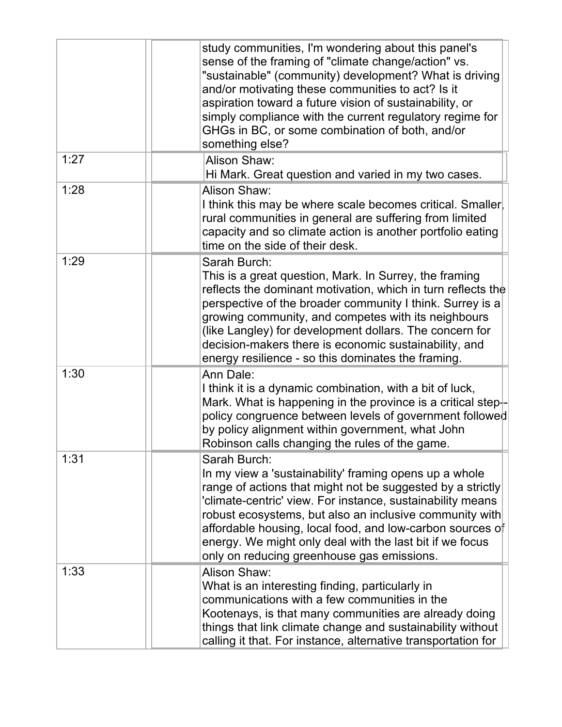|      | study communities, I'm wondering about this panel's<br>sense of the framing of "climate change/action" vs.<br>"sustainable" (community) development? What is driving<br>and/or motivating these communities to act? Is it<br>aspiration toward a future vision of sustainability, or<br>simply compliance with the current regulatory regime for<br>GHGs in BC, or some combination of both, and/or<br>something else?               |
|------|--------------------------------------------------------------------------------------------------------------------------------------------------------------------------------------------------------------------------------------------------------------------------------------------------------------------------------------------------------------------------------------------------------------------------------------|
| 1:27 | Alison Shaw:<br>Hi Mark. Great question and varied in my two cases.                                                                                                                                                                                                                                                                                                                                                                  |
| 1:28 | Alison Shaw:<br>I think this may be where scale becomes critical. Smaller<br>rural communities in general are suffering from limited<br>capacity and so climate action is another portfolio eating<br>time on the side of their desk.                                                                                                                                                                                                |
| 1:29 | Sarah Burch:<br>This is a great question, Mark. In Surrey, the framing<br>reflects the dominant motivation, which in turn reflects the<br>perspective of the broader community I think. Surrey is a<br>growing community, and competes with its neighbours<br>(like Langley) for development dollars. The concern for<br>decision-makers there is economic sustainability, and<br>energy resilience - so this dominates the framing. |
| 1:30 | Ann Dale:<br>I think it is a dynamic combination, with a bit of luck,<br>Mark. What is happening in the province is a critical step $\vdash$<br>policy congruence between levels of government followed<br>by policy alignment within government, what John<br>Robinson calls changing the rules of the game.                                                                                                                        |
| 1:31 | Sarah Burch:<br>In my view a 'sustainability' framing opens up a whole<br>range of actions that might not be suggested by a strictly<br>'climate-centric' view. For instance, sustainability means<br>robust ecosystems, but also an inclusive community with<br>affordable housing, local food, and low-carbon sources of<br>energy. We might only deal with the last bit if we focus<br>only on reducing greenhouse gas emissions. |
| 1:33 | Alison Shaw:<br>What is an interesting finding, particularly in<br>communications with a few communities in the<br>Kootenays, is that many communities are already doing<br>things that link climate change and sustainability without<br>calling it that. For instance, alternative transportation for                                                                                                                              |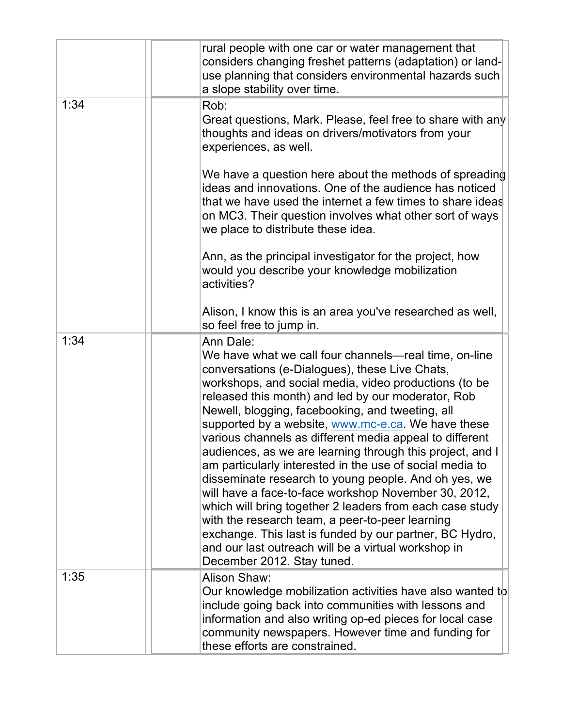|      | rural people with one car or water management that<br>considers changing freshet patterns (adaptation) or land-<br>use planning that considers environmental hazards such<br>a slope stability over time.                                                                                                                                                                                                                                                                                                                                                                                                                                                                                                                                                                                                                                                                                                        |
|------|------------------------------------------------------------------------------------------------------------------------------------------------------------------------------------------------------------------------------------------------------------------------------------------------------------------------------------------------------------------------------------------------------------------------------------------------------------------------------------------------------------------------------------------------------------------------------------------------------------------------------------------------------------------------------------------------------------------------------------------------------------------------------------------------------------------------------------------------------------------------------------------------------------------|
| 1:34 | Rob:<br>Great questions, Mark. Please, feel free to share with any<br>thoughts and ideas on drivers/motivators from your<br>experiences, as well.                                                                                                                                                                                                                                                                                                                                                                                                                                                                                                                                                                                                                                                                                                                                                                |
|      | We have a question here about the methods of spreading<br>ideas and innovations. One of the audience has noticed<br>that we have used the internet a few times to share ideas<br>on MC3. Their question involves what other sort of ways<br>we place to distribute these idea.                                                                                                                                                                                                                                                                                                                                                                                                                                                                                                                                                                                                                                   |
|      | Ann, as the principal investigator for the project, how<br>would you describe your knowledge mobilization<br>activities?                                                                                                                                                                                                                                                                                                                                                                                                                                                                                                                                                                                                                                                                                                                                                                                         |
|      | Alison, I know this is an area you've researched as well,<br>so feel free to jump in.                                                                                                                                                                                                                                                                                                                                                                                                                                                                                                                                                                                                                                                                                                                                                                                                                            |
| 1:34 | Ann Dale:<br>We have what we call four channels—real time, on-line<br>conversations (e-Dialogues), these Live Chats,<br>workshops, and social media, video productions (to be<br>released this month) and led by our moderator, Rob<br>Newell, blogging, facebooking, and tweeting, all<br>supported by a website, www.mc-e.ca. We have these<br>various channels as different media appeal to different<br>audiences, as we are learning through this project, and I<br>am particularly interested in the use of social media to<br>disseminate research to young people. And oh yes, we<br>will have a face-to-face workshop November 30, 2012,<br>which will bring together 2 leaders from each case study<br>with the research team, a peer-to-peer learning<br>exchange. This last is funded by our partner, BC Hydro,<br>and our last outreach will be a virtual workshop in<br>December 2012. Stay tuned. |
| 1:35 | Alison Shaw:<br>Our knowledge mobilization activities have also wanted to<br>include going back into communities with lessons and<br>information and also writing op-ed pieces for local case<br>community newspapers. However time and funding for<br>these efforts are constrained.                                                                                                                                                                                                                                                                                                                                                                                                                                                                                                                                                                                                                            |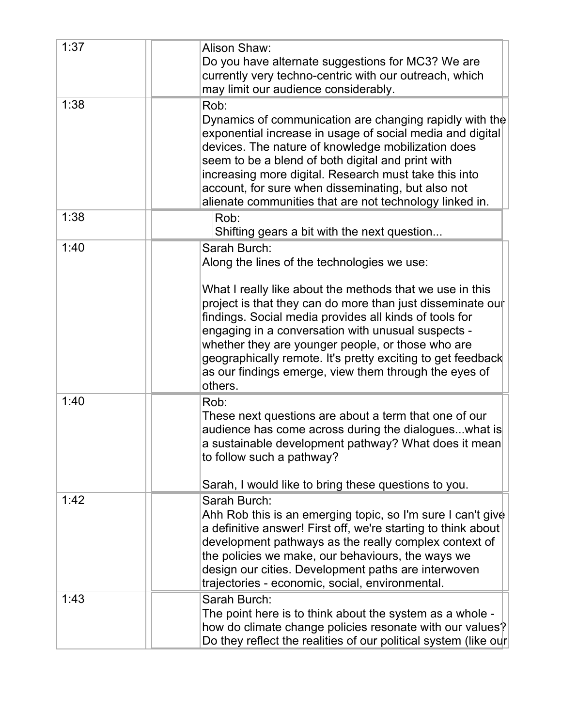| 1:37 | Alison Shaw:<br>Do you have alternate suggestions for MC3? We are<br>currently very techno-centric with our outreach, which<br>may limit our audience considerably.                                                                                                                                                                                                                                                            |
|------|--------------------------------------------------------------------------------------------------------------------------------------------------------------------------------------------------------------------------------------------------------------------------------------------------------------------------------------------------------------------------------------------------------------------------------|
| 1:38 | Rob:<br>Dynamics of communication are changing rapidly with the<br>exponential increase in usage of social media and digital<br>devices. The nature of knowledge mobilization does<br>seem to be a blend of both digital and print with<br>increasing more digital. Research must take this into<br>account, for sure when disseminating, but also not<br>alienate communities that are not technology linked in.              |
| 1:38 | Rob:<br>Shifting gears a bit with the next question                                                                                                                                                                                                                                                                                                                                                                            |
| 1:40 | Sarah Burch:<br>Along the lines of the technologies we use:                                                                                                                                                                                                                                                                                                                                                                    |
|      | What I really like about the methods that we use in this<br>project is that they can do more than just disseminate our<br>findings. Social media provides all kinds of tools for<br>engaging in a conversation with unusual suspects -<br>whether they are younger people, or those who are<br>geographically remote. It's pretty exciting to get feedback<br>as our findings emerge, view them through the eyes of<br>others. |
| 1:40 | Rob:<br>These next questions are about a term that one of our<br>audience has come across during the dialogues what is<br>a sustainable development pathway? What does it mean<br>to follow such a pathway?<br>Sarah, I would like to bring these questions to you.                                                                                                                                                            |
| 1:42 | Sarah Burch:<br>Ahh Rob this is an emerging topic, so I'm sure I can't give<br>a definitive answer! First off, we're starting to think about<br>development pathways as the really complex context of<br>the policies we make, our behaviours, the ways we<br>design our cities. Development paths are interwoven<br>trajectories - economic, social, environmental.                                                           |
| 1:43 | Sarah Burch:<br>The point here is to think about the system as a whole -<br>how do climate change policies resonate with our values?<br>Do they reflect the realities of our political system (like our                                                                                                                                                                                                                        |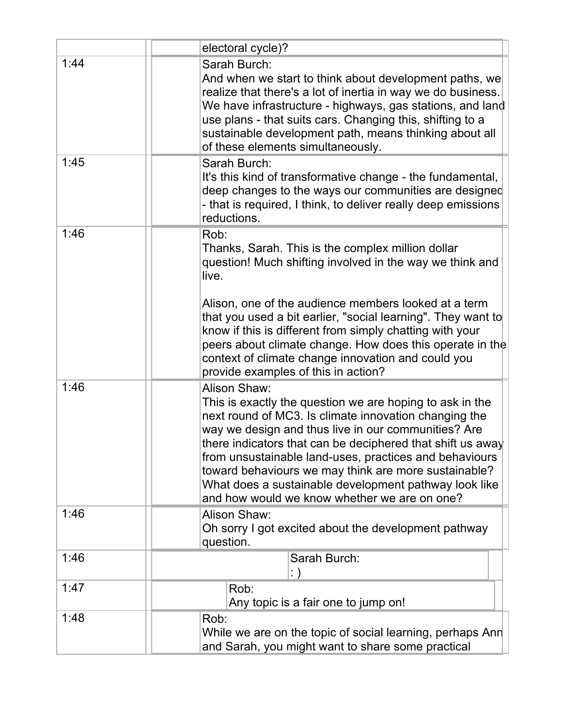|      | electoral cycle)?                                                                                                                                                                                                                                                                                                                                                                                                                                                                 |
|------|-----------------------------------------------------------------------------------------------------------------------------------------------------------------------------------------------------------------------------------------------------------------------------------------------------------------------------------------------------------------------------------------------------------------------------------------------------------------------------------|
| 1:44 | Sarah Burch:<br>And when we start to think about development paths, we<br>realize that there's a lot of inertia in way we do business.<br>We have infrastructure - highways, gas stations, and land<br>use plans - that suits cars. Changing this, shifting to a<br>sustainable development path, means thinking about all<br>of these elements simultaneously.                                                                                                                   |
| 1:45 | Sarah Burch:<br>It's this kind of transformative change - the fundamental,<br>deep changes to the ways our communities are designed<br>- that is required, I think, to deliver really deep emissions<br>reductions.                                                                                                                                                                                                                                                               |
| 1:46 | Rob:<br>Thanks, Sarah. This is the complex million dollar<br>question! Much shifting involved in the way we think and<br>live.                                                                                                                                                                                                                                                                                                                                                    |
|      | Alison, one of the audience members looked at a term<br>that you used a bit earlier, "social learning". They want to<br>know if this is different from simply chatting with your<br>peers about climate change. How does this operate in the<br>context of climate change innovation and could you<br>provide examples of this in action?                                                                                                                                         |
| 1:46 | Alison Shaw:<br>This is exactly the question we are hoping to ask in the<br>next round of MC3. Is climate innovation changing the<br>way we design and thus live in our communities? Are<br>there indicators that can be deciphered that shift us away<br>from unsustainable land-uses, practices and behaviours<br>toward behaviours we may think are more sustainable?<br>What does a sustainable development pathway look like<br>and how would we know whether we are on one? |
| 1:46 | Alison Shaw:<br>Oh sorry I got excited about the development pathway<br>question.                                                                                                                                                                                                                                                                                                                                                                                                 |
| 1:46 | Sarah Burch:                                                                                                                                                                                                                                                                                                                                                                                                                                                                      |
| 1:47 | Rob:<br>Any topic is a fair one to jump on!                                                                                                                                                                                                                                                                                                                                                                                                                                       |
| 1:48 | Rob:<br>While we are on the topic of social learning, perhaps Ann<br>and Sarah, you might want to share some practical                                                                                                                                                                                                                                                                                                                                                            |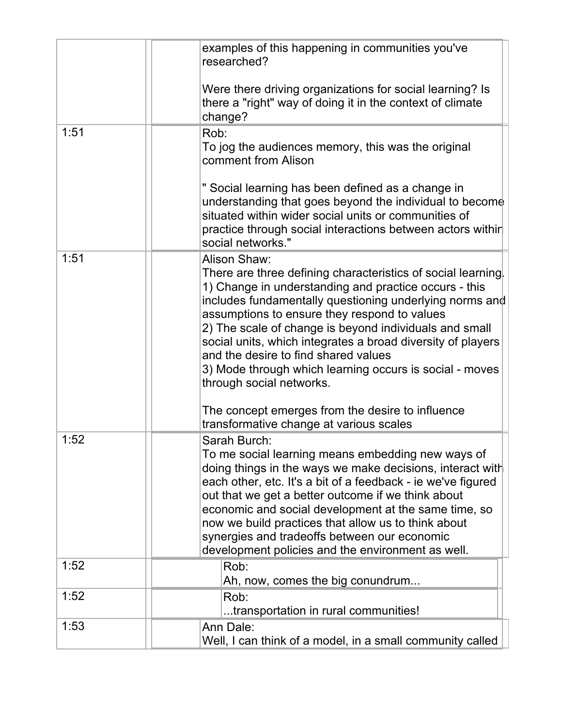|      | examples of this happening in communities you've<br>researched?                                                                                                                                                                                                                                                                                                                                                                                                                                          |
|------|----------------------------------------------------------------------------------------------------------------------------------------------------------------------------------------------------------------------------------------------------------------------------------------------------------------------------------------------------------------------------------------------------------------------------------------------------------------------------------------------------------|
|      | Were there driving organizations for social learning? Is<br>there a "right" way of doing it in the context of climate<br>change?                                                                                                                                                                                                                                                                                                                                                                         |
| 1:51 | Rob:<br>To jog the audiences memory, this was the original<br>comment from Alison                                                                                                                                                                                                                                                                                                                                                                                                                        |
|      | " Social learning has been defined as a change in<br>understanding that goes beyond the individual to become<br>situated within wider social units or communities of<br>practice through social interactions between actors within<br>social networks."                                                                                                                                                                                                                                                  |
| 1:51 | Alison Shaw:<br>There are three defining characteristics of social learning.<br>1) Change in understanding and practice occurs - this<br>includes fundamentally questioning underlying norms and<br>assumptions to ensure they respond to values<br>2) The scale of change is beyond individuals and small<br>social units, which integrates a broad diversity of players<br>and the desire to find shared values<br>3) Mode through which learning occurs is social - moves<br>through social networks. |
|      | The concept emerges from the desire to influence<br>transformative change at various scales                                                                                                                                                                                                                                                                                                                                                                                                              |
| 1:52 | Sarah Burch:<br>To me social learning means embedding new ways of<br>doing things in the ways we make decisions, interact with<br>each other, etc. It's a bit of a feedback - ie we've figured<br>out that we get a better outcome if we think about<br>economic and social development at the same time, so<br>now we build practices that allow us to think about<br>synergies and tradeoffs between our economic<br>development policies and the environment as well.                                 |
| 1:52 | Rob:<br>Ah, now, comes the big conundrum                                                                                                                                                                                                                                                                                                                                                                                                                                                                 |
| 1:52 | Rob:<br>transportation in rural communities!                                                                                                                                                                                                                                                                                                                                                                                                                                                             |
| 1:53 | Ann Dale:<br>Well, I can think of a model, in a small community called                                                                                                                                                                                                                                                                                                                                                                                                                                   |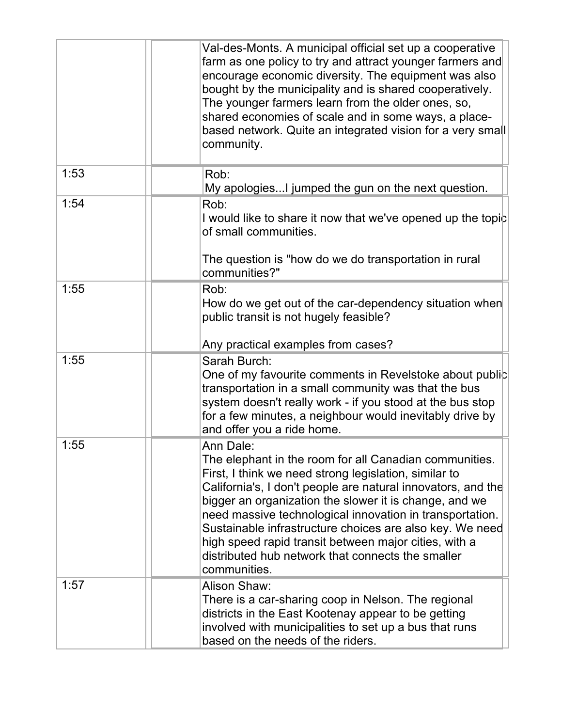|      | Val-des-Monts. A municipal official set up a cooperative<br>farm as one policy to try and attract younger farmers and<br>encourage economic diversity. The equipment was also<br>bought by the municipality and is shared cooperatively.<br>The younger farmers learn from the older ones, so,<br>shared economies of scale and in some ways, a place-<br>based network. Quite an integrated vision for a very small<br>community.                                                                           |
|------|--------------------------------------------------------------------------------------------------------------------------------------------------------------------------------------------------------------------------------------------------------------------------------------------------------------------------------------------------------------------------------------------------------------------------------------------------------------------------------------------------------------|
| 1:53 | Rob:<br>My apologiesI jumped the gun on the next question.                                                                                                                                                                                                                                                                                                                                                                                                                                                   |
| 1:54 | Rob:<br>I would like to share it now that we've opened up the topic<br>of small communities.                                                                                                                                                                                                                                                                                                                                                                                                                 |
|      | The question is "how do we do transportation in rural<br>communities?"                                                                                                                                                                                                                                                                                                                                                                                                                                       |
| 1:55 | Rob:<br>How do we get out of the car-dependency situation when<br>public transit is not hugely feasible?<br>Any practical examples from cases?                                                                                                                                                                                                                                                                                                                                                               |
| 1:55 | Sarah Burch:<br>One of my favourite comments in Revelstoke about public<br>transportation in a small community was that the bus<br>system doesn't really work - if you stood at the bus stop<br>for a few minutes, a neighbour would inevitably drive by<br>and offer you a ride home.                                                                                                                                                                                                                       |
| 1:55 | Ann Dale:<br>The elephant in the room for all Canadian communities.<br>First, I think we need strong legislation, similar to<br>California's, I don't people are natural innovators, and the<br>bigger an organization the slower it is change, and we<br>need massive technological innovation in transportation.<br>Sustainable infrastructure choices are also key. We need<br>high speed rapid transit between major cities, with a<br>distributed hub network that connects the smaller<br>communities. |
| 1:57 | Alison Shaw:<br>There is a car-sharing coop in Nelson. The regional<br>districts in the East Kootenay appear to be getting<br>involved with municipalities to set up a bus that runs<br>based on the needs of the riders.                                                                                                                                                                                                                                                                                    |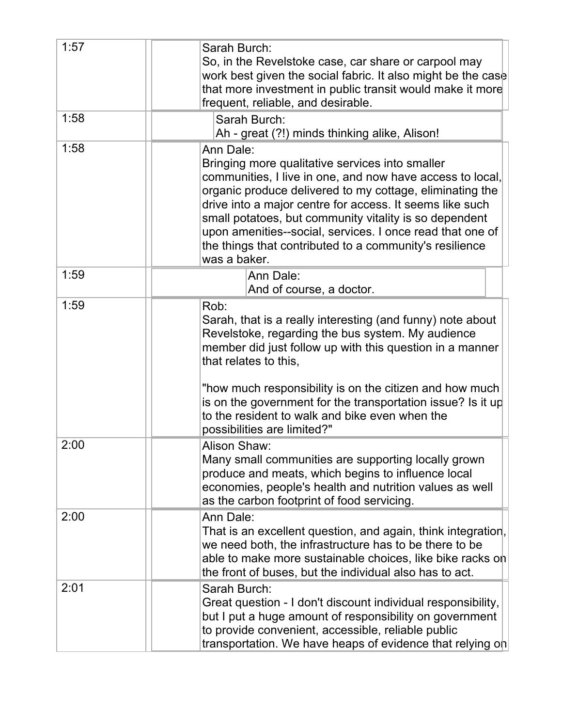| 1:57 | Sarah Burch:<br>So, in the Revelstoke case, car share or carpool may<br>work best given the social fabric. It also might be the case<br>that more investment in public transit would make it more<br>frequent, reliable, and desirable.                                                                                                                                                                                                             |
|------|-----------------------------------------------------------------------------------------------------------------------------------------------------------------------------------------------------------------------------------------------------------------------------------------------------------------------------------------------------------------------------------------------------------------------------------------------------|
| 1:58 | Sarah Burch:<br>Ah - great (?!) minds thinking alike, Alison!                                                                                                                                                                                                                                                                                                                                                                                       |
| 1:58 | Ann Dale:<br>Bringing more qualitative services into smaller<br>communities, I live in one, and now have access to local,<br>organic produce delivered to my cottage, eliminating the<br>drive into a major centre for access. It seems like such<br>small potatoes, but community vitality is so dependent<br>upon amenities--social, services. I once read that one of<br>the things that contributed to a community's resilience<br>was a baker. |
| 1:59 | Ann Dale:<br>And of course, a doctor.                                                                                                                                                                                                                                                                                                                                                                                                               |
| 1:59 | Rob:<br>Sarah, that is a really interesting (and funny) note about<br>Revelstoke, regarding the bus system. My audience<br>member did just follow up with this question in a manner<br>that relates to this,<br>"how much responsibility is on the citizen and how much<br>is on the government for the transportation issue? Is it up<br>to the resident to walk and bike even when the<br>possibilities are limited?"                             |
| 2:00 | Alison Shaw:<br>Many small communities are supporting locally grown<br>produce and meats, which begins to influence local<br>economies, people's health and nutrition values as well<br>as the carbon footprint of food servicing.                                                                                                                                                                                                                  |
| 2:00 | Ann Dale:<br>That is an excellent question, and again, think integration,<br>we need both, the infrastructure has to be there to be<br>able to make more sustainable choices, like bike racks on<br>the front of buses, but the individual also has to act.                                                                                                                                                                                         |
| 2:01 | Sarah Burch:<br>Great question - I don't discount individual responsibility,<br>but I put a huge amount of responsibility on government<br>to provide convenient, accessible, reliable public<br>transportation. We have heaps of evidence that relying on                                                                                                                                                                                          |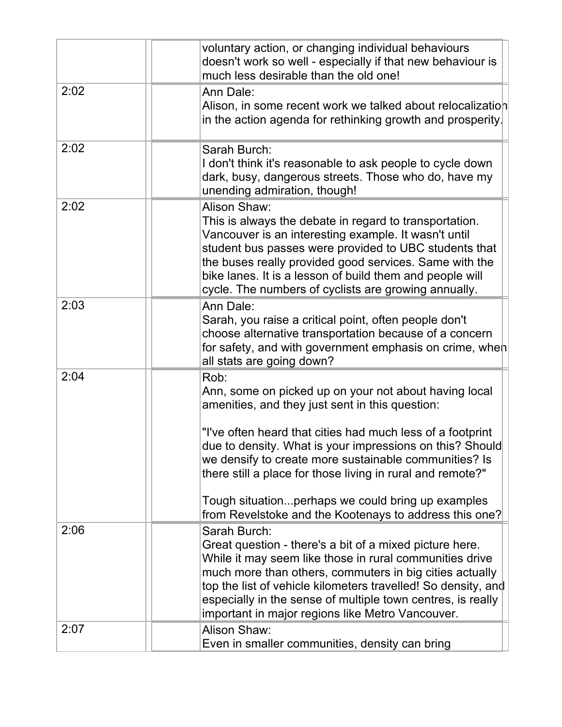|      | voluntary action, or changing individual behaviours<br>doesn't work so well - especially if that new behaviour is<br>much less desirable than the old one!                                                                                                                                                                                                                                                                                                                       |
|------|----------------------------------------------------------------------------------------------------------------------------------------------------------------------------------------------------------------------------------------------------------------------------------------------------------------------------------------------------------------------------------------------------------------------------------------------------------------------------------|
| 2:02 | Ann Dale:<br>Alison, in some recent work we talked about relocalization<br>in the action agenda for rethinking growth and prosperity.                                                                                                                                                                                                                                                                                                                                            |
| 2:02 | Sarah Burch:<br>I don't think it's reasonable to ask people to cycle down<br>dark, busy, dangerous streets. Those who do, have my<br>unending admiration, though!                                                                                                                                                                                                                                                                                                                |
| 2:02 | Alison Shaw:<br>This is always the debate in regard to transportation.<br>Vancouver is an interesting example. It wasn't until<br>student bus passes were provided to UBC students that<br>the buses really provided good services. Same with the<br>bike lanes. It is a lesson of build them and people will<br>cycle. The numbers of cyclists are growing annually.                                                                                                            |
| 2:03 | Ann Dale:<br>Sarah, you raise a critical point, often people don't<br>choose alternative transportation because of a concern<br>for safety, and with government emphasis on crime, when<br>all stats are going down?                                                                                                                                                                                                                                                             |
| 2:04 | Rob:<br>Ann, some on picked up on your not about having local<br>amenities, and they just sent in this question:<br>"I've often heard that cities had much less of a footprint<br>due to density. What is your impressions on this? Should<br>we densify to create more sustainable communities? Is<br>there still a place for those living in rural and remote?"<br>Tough situationperhaps we could bring up examples<br>from Revelstoke and the Kootenays to address this one? |
| 2:06 | Sarah Burch:<br>Great question - there's a bit of a mixed picture here.<br>While it may seem like those in rural communities drive<br>much more than others, commuters in big cities actually<br>top the list of vehicle kilometers travelled! So density, and<br>especially in the sense of multiple town centres, is really<br>important in major regions like Metro Vancouver.                                                                                                |
| 2:07 | Alison Shaw:<br>Even in smaller communities, density can bring                                                                                                                                                                                                                                                                                                                                                                                                                   |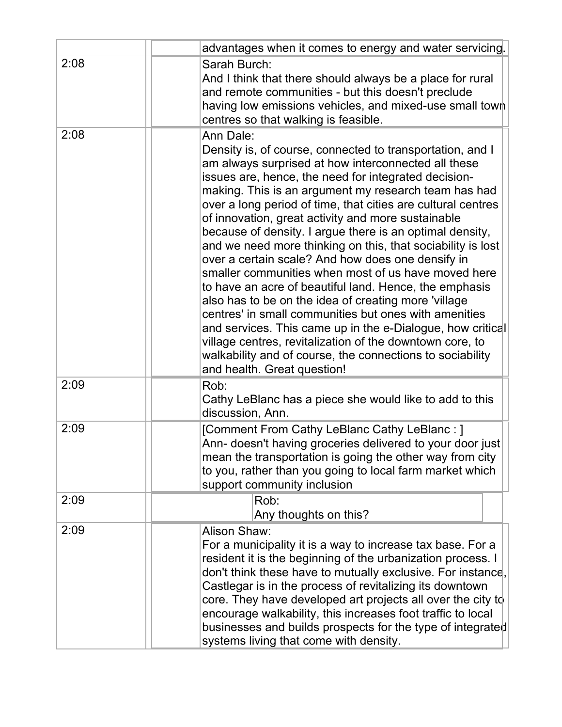|      | advantages when it comes to energy and water servicing.                                                                                                                                                                                                                                                                                                                                                                                                                                                                                                                                                                                                                                                                                                                                                                                                                                                                                                                                                     |
|------|-------------------------------------------------------------------------------------------------------------------------------------------------------------------------------------------------------------------------------------------------------------------------------------------------------------------------------------------------------------------------------------------------------------------------------------------------------------------------------------------------------------------------------------------------------------------------------------------------------------------------------------------------------------------------------------------------------------------------------------------------------------------------------------------------------------------------------------------------------------------------------------------------------------------------------------------------------------------------------------------------------------|
| 2:08 | Sarah Burch:<br>And I think that there should always be a place for rural<br>and remote communities - but this doesn't preclude<br>having low emissions vehicles, and mixed-use small town<br>centres so that walking is feasible.                                                                                                                                                                                                                                                                                                                                                                                                                                                                                                                                                                                                                                                                                                                                                                          |
| 2:08 | Ann Dale:<br>Density is, of course, connected to transportation, and I<br>am always surprised at how interconnected all these<br>issues are, hence, the need for integrated decision-<br>making. This is an argument my research team has had<br>over a long period of time, that cities are cultural centres<br>of innovation, great activity and more sustainable<br>because of density. I argue there is an optimal density,<br>and we need more thinking on this, that sociability is lost<br>over a certain scale? And how does one densify in<br>smaller communities when most of us have moved here<br>to have an acre of beautiful land. Hence, the emphasis<br>also has to be on the idea of creating more 'village<br>centres' in small communities but ones with amenities<br>and services. This came up in the e-Dialogue, how critical<br>village centres, revitalization of the downtown core, to<br>walkability and of course, the connections to sociability<br>and health. Great question! |
| 2:09 | Rob:<br>Cathy LeBlanc has a piece she would like to add to this<br>discussion, Ann.                                                                                                                                                                                                                                                                                                                                                                                                                                                                                                                                                                                                                                                                                                                                                                                                                                                                                                                         |
| 2:09 | [Comment From Cathy LeBlanc Cathy LeBlanc : ]<br>Ann- doesn't having groceries delivered to your door just<br>mean the transportation is going the other way from city<br>to you, rather than you going to local farm market which<br>support community inclusion                                                                                                                                                                                                                                                                                                                                                                                                                                                                                                                                                                                                                                                                                                                                           |
| 2:09 | Rob:<br>Any thoughts on this?                                                                                                                                                                                                                                                                                                                                                                                                                                                                                                                                                                                                                                                                                                                                                                                                                                                                                                                                                                               |
| 2:09 | Alison Shaw:<br>For a municipality it is a way to increase tax base. For a<br>resident it is the beginning of the urbanization process. I<br>don't think these have to mutually exclusive. For instance,<br>Castlegar is in the process of revitalizing its downtown<br>core. They have developed art projects all over the city to<br>encourage walkability, this increases foot traffic to local<br>businesses and builds prospects for the type of integrated<br>systems living that come with density.                                                                                                                                                                                                                                                                                                                                                                                                                                                                                                  |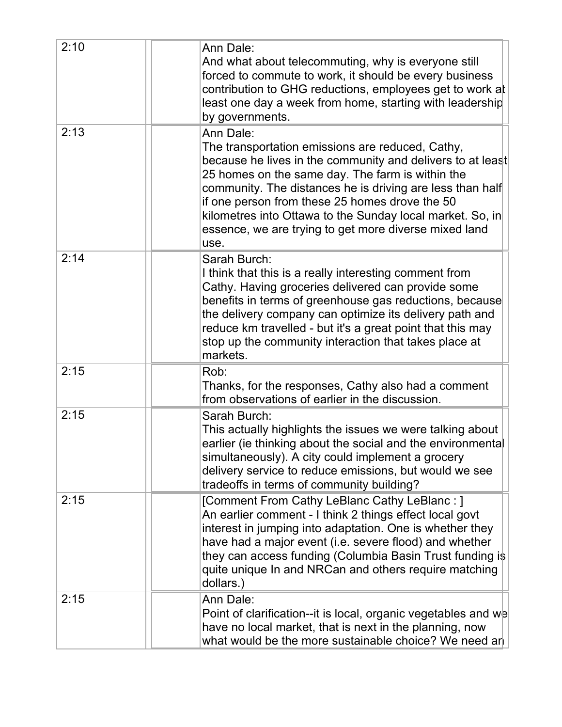| 2:10 | Ann Dale:<br>And what about telecommuting, why is everyone still<br>forced to commute to work, it should be every business<br>contribution to GHG reductions, employees get to work at<br>least one day a week from home, starting with leadership<br>by governments.                                                                                                                                                        |
|------|------------------------------------------------------------------------------------------------------------------------------------------------------------------------------------------------------------------------------------------------------------------------------------------------------------------------------------------------------------------------------------------------------------------------------|
| 2:13 | Ann Dale:<br>The transportation emissions are reduced, Cathy,<br>because he lives in the community and delivers to at least<br>25 homes on the same day. The farm is within the<br>community. The distances he is driving are less than half<br>if one person from these 25 homes drove the 50<br>kilometres into Ottawa to the Sunday local market. So, in<br>essence, we are trying to get more diverse mixed land<br>use. |
| 2:14 | Sarah Burch:<br>I think that this is a really interesting comment from<br>Cathy. Having groceries delivered can provide some<br>benefits in terms of greenhouse gas reductions, because<br>the delivery company can optimize its delivery path and<br>reduce km travelled - but it's a great point that this may<br>stop up the community interaction that takes place at<br>markets.                                        |
| 2:15 | Rob:<br>Thanks, for the responses, Cathy also had a comment<br>from observations of earlier in the discussion.                                                                                                                                                                                                                                                                                                               |
| 2:15 | Sarah Burch:<br>This actually highlights the issues we were talking about<br>earlier (ie thinking about the social and the environmental<br>simultaneously). A city could implement a grocery<br>delivery service to reduce emissions, but would we see<br>tradeoffs in terms of community building?                                                                                                                         |
| 2:15 | [Comment From Cathy LeBlanc Cathy LeBlanc : ]<br>An earlier comment - I think 2 things effect local govt<br>interest in jumping into adaptation. One is whether they<br>have had a major event (i.e. severe flood) and whether<br>they can access funding (Columbia Basin Trust funding is<br>quite unique In and NRCan and others require matching<br>dollars.)                                                             |
| 2:15 | Ann Dale:<br>Point of clarification--it is local, organic vegetables and we<br>have no local market, that is next in the planning, now<br>what would be the more sustainable choice? We need an                                                                                                                                                                                                                              |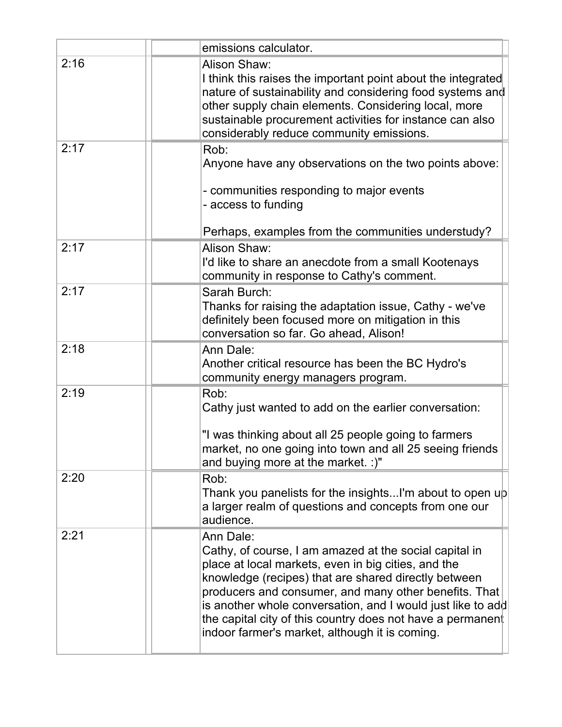|      | emissions calculator.                                                                                                                                                                                                                                                                                                                                                                                                      |
|------|----------------------------------------------------------------------------------------------------------------------------------------------------------------------------------------------------------------------------------------------------------------------------------------------------------------------------------------------------------------------------------------------------------------------------|
| 2:16 | Alison Shaw:<br>I think this raises the important point about the integrated<br>nature of sustainability and considering food systems and<br>other supply chain elements. Considering local, more<br>sustainable procurement activities for instance can also<br>considerably reduce community emissions.                                                                                                                  |
| 2:17 | Rob:<br>Anyone have any observations on the two points above:<br>- communities responding to major events<br>- access to funding<br>Perhaps, examples from the communities understudy?                                                                                                                                                                                                                                     |
| 2:17 | Alison Shaw:<br>I'd like to share an anecdote from a small Kootenays<br>community in response to Cathy's comment.                                                                                                                                                                                                                                                                                                          |
| 2:17 | Sarah Burch:<br>Thanks for raising the adaptation issue, Cathy - we've<br>definitely been focused more on mitigation in this<br>conversation so far. Go ahead, Alison!                                                                                                                                                                                                                                                     |
| 2:18 | Ann Dale:<br>Another critical resource has been the BC Hydro's<br>community energy managers program.                                                                                                                                                                                                                                                                                                                       |
| 2:19 | Rob:<br>Cathy just wanted to add on the earlier conversation:<br>"I was thinking about all 25 people going to farmers<br>market, no one going into town and all 25 seeing friends<br>and buying more at the market. :)"                                                                                                                                                                                                    |
| 2:20 | Rob:<br>Thank you panelists for the insightsI'm about to open up<br>a larger realm of questions and concepts from one our<br>audience.                                                                                                                                                                                                                                                                                     |
| 2:21 | Ann Dale:<br>Cathy, of course, I am amazed at the social capital in<br>place at local markets, even in big cities, and the<br>knowledge (recipes) that are shared directly between<br>producers and consumer, and many other benefits. That<br>is another whole conversation, and I would just like to add<br>the capital city of this country does not have a permanent<br>indoor farmer's market, although it is coming. |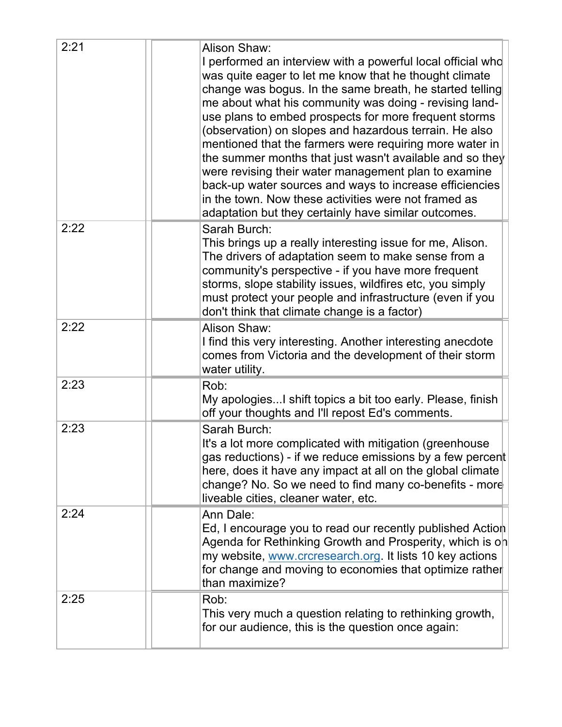| 2:21 | Alison Shaw:<br>I performed an interview with a powerful local official who<br>was quite eager to let me know that he thought climate<br>change was bogus. In the same breath, he started telling<br>me about what his community was doing - revising land-<br>use plans to embed prospects for more frequent storms<br>(observation) on slopes and hazardous terrain. He also<br>mentioned that the farmers were requiring more water in<br>the summer months that just wasn't available and so they<br>were revising their water management plan to examine<br>back-up water sources and ways to increase efficiencies<br>in the town. Now these activities were not framed as<br>adaptation but they certainly have similar outcomes. |
|------|------------------------------------------------------------------------------------------------------------------------------------------------------------------------------------------------------------------------------------------------------------------------------------------------------------------------------------------------------------------------------------------------------------------------------------------------------------------------------------------------------------------------------------------------------------------------------------------------------------------------------------------------------------------------------------------------------------------------------------------|
| 2:22 | Sarah Burch:<br>This brings up a really interesting issue for me, Alison.<br>The drivers of adaptation seem to make sense from a<br>community's perspective - if you have more frequent<br>storms, slope stability issues, wildfires etc, you simply<br>must protect your people and infrastructure (even if you<br>don't think that climate change is a factor)                                                                                                                                                                                                                                                                                                                                                                         |
| 2:22 | Alison Shaw:<br>I find this very interesting. Another interesting anecdote<br>comes from Victoria and the development of their storm<br>water utility.                                                                                                                                                                                                                                                                                                                                                                                                                                                                                                                                                                                   |
| 2:23 | Rob:<br>My apologiesI shift topics a bit too early. Please, finish<br>off your thoughts and I'll repost Ed's comments.                                                                                                                                                                                                                                                                                                                                                                                                                                                                                                                                                                                                                   |
| 2:23 | Sarah Burch:<br>It's a lot more complicated with mitigation (greenhouse<br>gas reductions) - if we reduce emissions by a few percent<br>here, does it have any impact at all on the global climate<br>change? No. So we need to find many co-benefits - more<br>liveable cities, cleaner water, etc.                                                                                                                                                                                                                                                                                                                                                                                                                                     |
| 2:24 | Ann Dale:<br>Ed, I encourage you to read our recently published Action<br>Agenda for Rethinking Growth and Prosperity, which is on<br>my website, www.crcresearch.org. It lists 10 key actions<br>for change and moving to economies that optimize rather<br>than maximize?                                                                                                                                                                                                                                                                                                                                                                                                                                                              |
| 2:25 | Rob:<br>This very much a question relating to rethinking growth,<br>for our audience, this is the question once again:                                                                                                                                                                                                                                                                                                                                                                                                                                                                                                                                                                                                                   |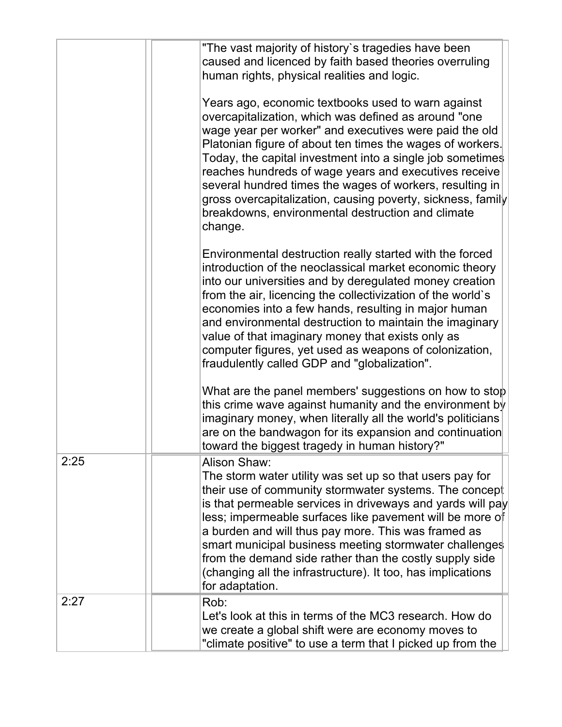|      | "The vast majority of history's tragedies have been<br>caused and licenced by faith based theories overruling<br>human rights, physical realities and logic.<br>Years ago, economic textbooks used to warn against<br>overcapitalization, which was defined as around "one<br>wage year per worker" and executives were paid the old<br>Platonian figure of about ten times the wages of workers.<br>Today, the capital investment into a single job sometimes<br>reaches hundreds of wage years and executives receive<br>several hundred times the wages of workers, resulting in<br>gross overcapitalization, causing poverty, sickness, family<br>breakdowns, environmental destruction and climate |
|------|---------------------------------------------------------------------------------------------------------------------------------------------------------------------------------------------------------------------------------------------------------------------------------------------------------------------------------------------------------------------------------------------------------------------------------------------------------------------------------------------------------------------------------------------------------------------------------------------------------------------------------------------------------------------------------------------------------|
|      | change.<br>Environmental destruction really started with the forced<br>introduction of the neoclassical market economic theory<br>into our universities and by deregulated money creation<br>from the air, licencing the collectivization of the world's<br>economies into a few hands, resulting in major human<br>and environmental destruction to maintain the imaginary<br>value of that imaginary money that exists only as<br>computer figures, yet used as weapons of colonization,<br>fraudulently called GDP and "globalization".                                                                                                                                                              |
|      | What are the panel members' suggestions on how to stop<br>this crime wave against humanity and the environment by<br>imaginary money, when literally all the world's politicians<br>are on the bandwagon for its expansion and continuation<br>toward the biggest tragedy in human history?"                                                                                                                                                                                                                                                                                                                                                                                                            |
| 2:25 | Alison Shaw:<br>The storm water utility was set up so that users pay for<br>their use of community stormwater systems. The concept<br>is that permeable services in driveways and yards will pay<br>less; impermeable surfaces like pavement will be more of<br>a burden and will thus pay more. This was framed as<br>smart municipal business meeting stormwater challenges<br>from the demand side rather than the costly supply side<br>(changing all the infrastructure). It too, has implications<br>for adaptation.                                                                                                                                                                              |
| 2:27 | Rob:<br>Let's look at this in terms of the MC3 research. How do<br>we create a global shift were are economy moves to<br>"climate positive" to use a term that I picked up from the                                                                                                                                                                                                                                                                                                                                                                                                                                                                                                                     |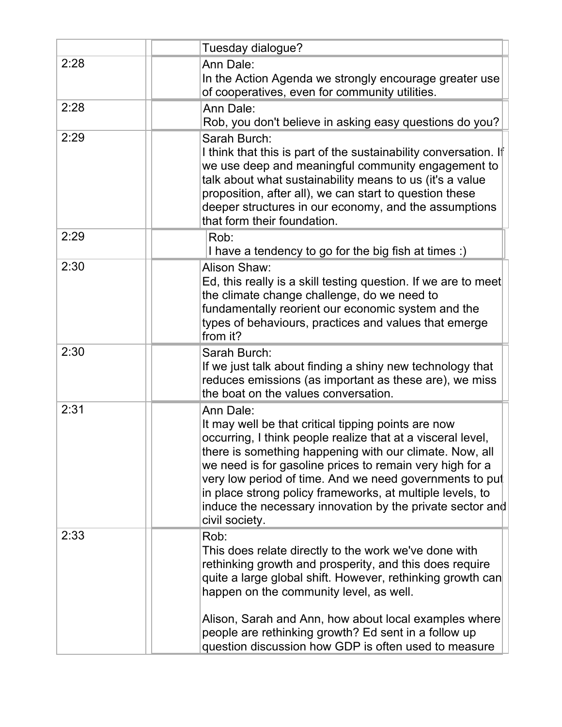|      | Tuesday dialogue?                                                                                                                                                                                                                                                                                                                                                                                                                                             |
|------|---------------------------------------------------------------------------------------------------------------------------------------------------------------------------------------------------------------------------------------------------------------------------------------------------------------------------------------------------------------------------------------------------------------------------------------------------------------|
| 2:28 | Ann Dale:<br>In the Action Agenda we strongly encourage greater use<br>of cooperatives, even for community utilities.                                                                                                                                                                                                                                                                                                                                         |
| 2:28 | Ann Dale:<br>Rob, you don't believe in asking easy questions do you?                                                                                                                                                                                                                                                                                                                                                                                          |
| 2:29 | Sarah Burch:<br>I think that this is part of the sustainability conversation. If<br>we use deep and meaningful community engagement to<br>talk about what sustainability means to us (it's a value<br>proposition, after all), we can start to question these<br>deeper structures in our economy, and the assumptions<br>that form their foundation.                                                                                                         |
| 2:29 | Rob:<br>I have a tendency to go for the big fish at times :)                                                                                                                                                                                                                                                                                                                                                                                                  |
| 2:30 | Alison Shaw:<br>Ed, this really is a skill testing question. If we are to meet<br>the climate change challenge, do we need to<br>fundamentally reorient our economic system and the<br>types of behaviours, practices and values that emerge<br>from it?                                                                                                                                                                                                      |
| 2:30 | Sarah Burch:<br>If we just talk about finding a shiny new technology that<br>reduces emissions (as important as these are), we miss<br>the boat on the values conversation.                                                                                                                                                                                                                                                                                   |
| 2:31 | Ann Dale:<br>It may well be that critical tipping points are now<br>occurring, I think people realize that at a visceral level,<br>there is something happening with our climate. Now, all<br>we need is for gasoline prices to remain very high for a<br>very low period of time. And we need governments to put<br>in place strong policy frameworks, at multiple levels, to<br>induce the necessary innovation by the private sector and<br>civil society. |
| 2:33 | Rob:<br>This does relate directly to the work we've done with<br>rethinking growth and prosperity, and this does require<br>quite a large global shift. However, rethinking growth can<br>happen on the community level, as well.<br>Alison, Sarah and Ann, how about local examples where<br>people are rethinking growth? Ed sent in a follow up<br>question discussion how GDP is often used to measure                                                    |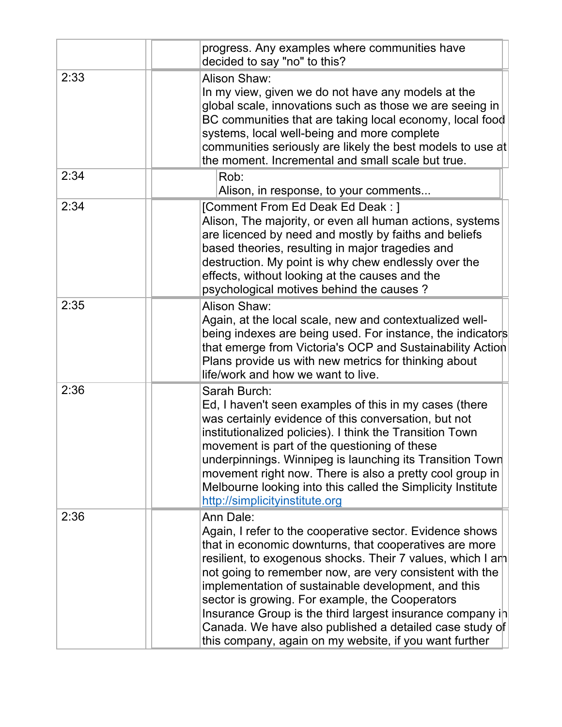|      | progress. Any examples where communities have<br>decided to say "no" to this?                                                                                                                                                                                                                                                                                                                                                                                                                                                                        |
|------|------------------------------------------------------------------------------------------------------------------------------------------------------------------------------------------------------------------------------------------------------------------------------------------------------------------------------------------------------------------------------------------------------------------------------------------------------------------------------------------------------------------------------------------------------|
| 2:33 | Alison Shaw:<br>In my view, given we do not have any models at the<br>global scale, innovations such as those we are seeing in<br>BC communities that are taking local economy, local food<br>systems, local well-being and more complete<br>communities seriously are likely the best models to use at<br>the moment. Incremental and small scale but true.                                                                                                                                                                                         |
| 2:34 | Rob:<br>Alison, in response, to your comments                                                                                                                                                                                                                                                                                                                                                                                                                                                                                                        |
| 2:34 | [Comment From Ed Deak Ed Deak : ]<br>Alison, The majority, or even all human actions, systems<br>are licenced by need and mostly by faiths and beliefs<br>based theories, resulting in major tragedies and<br>destruction. My point is why chew endlessly over the<br>effects, without looking at the causes and the<br>psychological motives behind the causes?                                                                                                                                                                                     |
| 2:35 | Alison Shaw:<br>Again, at the local scale, new and contextualized well-<br>being indexes are being used. For instance, the indicators<br>that emerge from Victoria's OCP and Sustainability Action<br>Plans provide us with new metrics for thinking about<br>life/work and how we want to live.                                                                                                                                                                                                                                                     |
| 2:36 | Sarah Burch:<br>Ed, I haven't seen examples of this in my cases (there<br>was certainly evidence of this conversation, but not<br>institutionalized policies). I think the Transition Town<br>movement is part of the questioning of these<br>underpinnings. Winnipeg is launching its Transition Town<br>movement right now. There is also a pretty cool group in<br>Melbourne looking into this called the Simplicity Institute<br>http://simplicityinstitute.org                                                                                  |
| 2:36 | Ann Dale:<br>Again, I refer to the cooperative sector. Evidence shows<br>that in economic downturns, that cooperatives are more<br>resilient, to exogenous shocks. Their 7 values, which I am<br>not going to remember now, are very consistent with the<br>implementation of sustainable development, and this<br>sector is growing. For example, the Cooperators<br>Insurance Group is the third largest insurance company in<br>Canada. We have also published a detailed case study of<br>this company, again on my website, if you want further |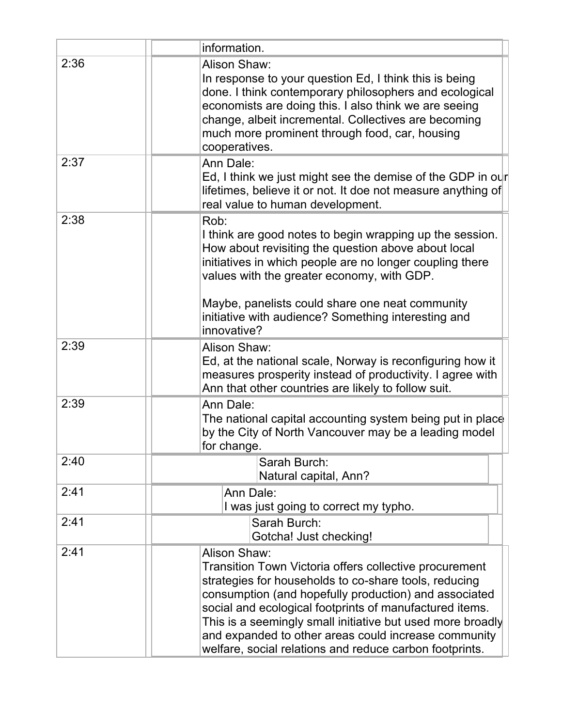|      | information.                                                                                                                                                                                                                                                                                                                                                                                                                         |
|------|--------------------------------------------------------------------------------------------------------------------------------------------------------------------------------------------------------------------------------------------------------------------------------------------------------------------------------------------------------------------------------------------------------------------------------------|
| 2:36 | Alison Shaw:<br>In response to your question Ed, I think this is being<br>done. I think contemporary philosophers and ecological<br>economists are doing this. I also think we are seeing<br>change, albeit incremental. Collectives are becoming<br>much more prominent through food, car, housing<br>cooperatives.                                                                                                                 |
| 2:37 | Ann Dale:<br>Ed, I think we just might see the demise of the GDP in our<br>lifetimes, believe it or not. It doe not measure anything of<br>real value to human development.                                                                                                                                                                                                                                                          |
| 2:38 | Rob:<br>I think are good notes to begin wrapping up the session.<br>How about revisiting the question above about local<br>initiatives in which people are no longer coupling there<br>values with the greater economy, with GDP.<br>Maybe, panelists could share one neat community<br>initiative with audience? Something interesting and<br>innovative?                                                                           |
| 2:39 | Alison Shaw:<br>Ed, at the national scale, Norway is reconfiguring how it<br>measures prosperity instead of productivity. I agree with<br>Ann that other countries are likely to follow suit.                                                                                                                                                                                                                                        |
| 2:39 | Ann Dale:<br>The national capital accounting system being put in place<br>by the City of North Vancouver may be a leading model<br>for change.                                                                                                                                                                                                                                                                                       |
| 2:40 | Sarah Burch:<br>Natural capital, Ann?                                                                                                                                                                                                                                                                                                                                                                                                |
| 2:41 | Ann Dale:<br>I was just going to correct my typho.                                                                                                                                                                                                                                                                                                                                                                                   |
| 2:41 | Sarah Burch:<br>Gotcha! Just checking!                                                                                                                                                                                                                                                                                                                                                                                               |
| 2:41 | Alison Shaw:<br>Transition Town Victoria offers collective procurement<br>strategies for households to co-share tools, reducing<br>consumption (and hopefully production) and associated<br>social and ecological footprints of manufactured items.<br>This is a seemingly small initiative but used more broadly<br>and expanded to other areas could increase community<br>welfare, social relations and reduce carbon footprints. |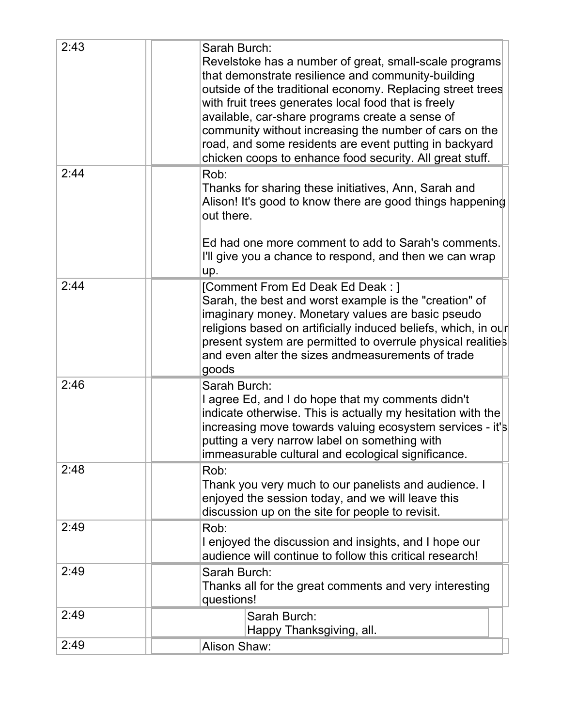| 2:43 | Sarah Burch:<br>Revelstoke has a number of great, small-scale programs<br>that demonstrate resilience and community-building<br>outside of the traditional economy. Replacing street trees<br>with fruit trees generates local food that is freely<br>available, car-share programs create a sense of<br>community without increasing the number of cars on the<br>road, and some residents are event putting in backyard<br>chicken coops to enhance food security. All great stuff. |
|------|---------------------------------------------------------------------------------------------------------------------------------------------------------------------------------------------------------------------------------------------------------------------------------------------------------------------------------------------------------------------------------------------------------------------------------------------------------------------------------------|
| 2:44 | Rob:<br>Thanks for sharing these initiatives, Ann, Sarah and<br>Alison! It's good to know there are good things happening<br>out there.<br>Ed had one more comment to add to Sarah's comments.<br>I'll give you a chance to respond, and then we can wrap<br>up.                                                                                                                                                                                                                      |
| 2:44 | [Comment From Ed Deak Ed Deak: ]<br>Sarah, the best and worst example is the "creation" of<br>imaginary money. Monetary values are basic pseudo<br>religions based on artificially induced beliefs, which, in our<br>present system are permitted to overrule physical realities<br>and even alter the sizes andmeasurements of trade<br>goods                                                                                                                                        |
| 2:46 | Sarah Burch:<br>I agree Ed, and I do hope that my comments didn't<br>indicate otherwise. This is actually my hesitation with the<br>increasing move towards valuing ecosystem services - it's<br>putting a very narrow label on something with<br>immeasurable cultural and ecological significance.                                                                                                                                                                                  |
| 2:48 | Rob:<br>Thank you very much to our panelists and audience. I<br>enjoyed the session today, and we will leave this<br>discussion up on the site for people to revisit.                                                                                                                                                                                                                                                                                                                 |
| 2:49 | Rob:<br>I enjoyed the discussion and insights, and I hope our<br>audience will continue to follow this critical research!                                                                                                                                                                                                                                                                                                                                                             |
| 2:49 | Sarah Burch:<br>Thanks all for the great comments and very interesting<br>questions!                                                                                                                                                                                                                                                                                                                                                                                                  |
| 2:49 | Sarah Burch:<br>Happy Thanksgiving, all.                                                                                                                                                                                                                                                                                                                                                                                                                                              |
| 2:49 | Alison Shaw:                                                                                                                                                                                                                                                                                                                                                                                                                                                                          |